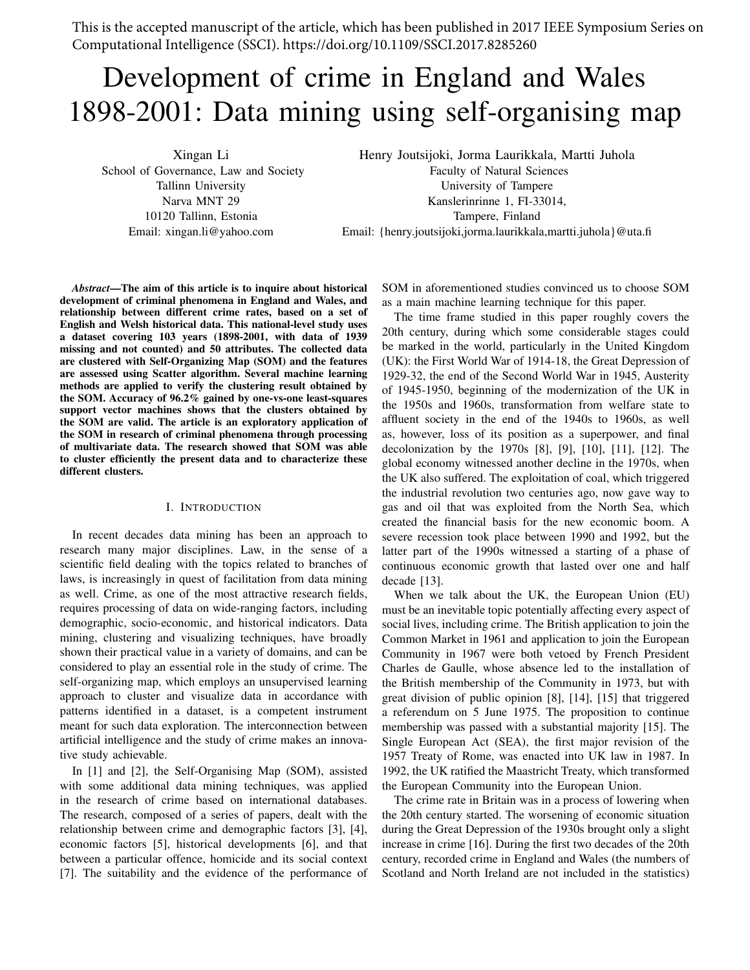This is the accepted manuscript of the article, which has been published in 2017 IEEE Symposium Series on Computational Intelligence (SSCI). https://doi.org/10.1109/SSCI.2017.8285260

# Development of crime in England and Wales 1898-2001: Data mining using self-organising map

Xingan Li School of Governance, Law and Society Tallinn University Narva MNT 29 10120 Tallinn, Estonia Email: xingan.li@yahoo.com

Henry Joutsijoki, Jorma Laurikkala, Martti Juhola

Faculty of Natural Sciences University of Tampere Kanslerinrinne 1, FI-33014, Tampere, Finland

Email: {henry.joutsijoki,jorma.laurikkala,martti.juhola}@uta.fi

*Abstract*—The aim of this article is to inquire about historical development of criminal phenomena in England and Wales, and relationship between different crime rates, based on a set of English and Welsh historical data. This national-level study uses a dataset covering 103 years (1898-2001, with data of 1939 missing and not counted) and 50 attributes. The collected data are clustered with Self-Organizing Map (SOM) and the features are assessed using Scatter algorithm. Several machine learning methods are applied to verify the clustering result obtained by the SOM. Accuracy of 96.2% gained by one-vs-one least-squares support vector machines shows that the clusters obtained by the SOM are valid. The article is an exploratory application of the SOM in research of criminal phenomena through processing of multivariate data. The research showed that SOM was able to cluster efficiently the present data and to characterize these different clusters.

#### I. INTRODUCTION

In recent decades data mining has been an approach to research many major disciplines. Law, in the sense of a scientific field dealing with the topics related to branches of laws, is increasingly in quest of facilitation from data mining as well. Crime, as one of the most attractive research fields, requires processing of data on wide-ranging factors, including demographic, socio-economic, and historical indicators. Data mining, clustering and visualizing techniques, have broadly shown their practical value in a variety of domains, and can be considered to play an essential role in the study of crime. The self-organizing map, which employs an unsupervised learning approach to cluster and visualize data in accordance with patterns identified in a dataset, is a competent instrument meant for such data exploration. The interconnection between artificial intelligence and the study of crime makes an innovative study achievable.

In [1] and [2], the Self-Organising Map (SOM), assisted with some additional data mining techniques, was applied in the research of crime based on international databases. The research, composed of a series of papers, dealt with the relationship between crime and demographic factors [3], [4], economic factors [5], historical developments [6], and that between a particular offence, homicide and its social context [7]. The suitability and the evidence of the performance of SOM in aforementioned studies convinced us to choose SOM as a main machine learning technique for this paper.

The time frame studied in this paper roughly covers the 20th century, during which some considerable stages could be marked in the world, particularly in the United Kingdom (UK): the First World War of 1914-18, the Great Depression of 1929-32, the end of the Second World War in 1945, Austerity of 1945-1950, beginning of the modernization of the UK in the 1950s and 1960s, transformation from welfare state to affluent society in the end of the 1940s to 1960s, as well as, however, loss of its position as a superpower, and final decolonization by the 1970s [8], [9], [10], [11], [12]. The global economy witnessed another decline in the 1970s, when the UK also suffered. The exploitation of coal, which triggered the industrial revolution two centuries ago, now gave way to gas and oil that was exploited from the North Sea, which created the financial basis for the new economic boom. A severe recession took place between 1990 and 1992, but the latter part of the 1990s witnessed a starting of a phase of continuous economic growth that lasted over one and half decade [13].

When we talk about the UK, the European Union (EU) must be an inevitable topic potentially affecting every aspect of social lives, including crime. The British application to join the Common Market in 1961 and application to join the European Community in 1967 were both vetoed by French President Charles de Gaulle, whose absence led to the installation of the British membership of the Community in 1973, but with great division of public opinion [8], [14], [15] that triggered a referendum on 5 June 1975. The proposition to continue membership was passed with a substantial majority [15]. The Single European Act (SEA), the first major revision of the 1957 Treaty of Rome, was enacted into UK law in 1987. In 1992, the UK ratified the Maastricht Treaty, which transformed the European Community into the European Union.

The crime rate in Britain was in a process of lowering when the 20th century started. The worsening of economic situation during the Great Depression of the 1930s brought only a slight increase in crime [16]. During the first two decades of the 20th century, recorded crime in England and Wales (the numbers of Scotland and North Ireland are not included in the statistics)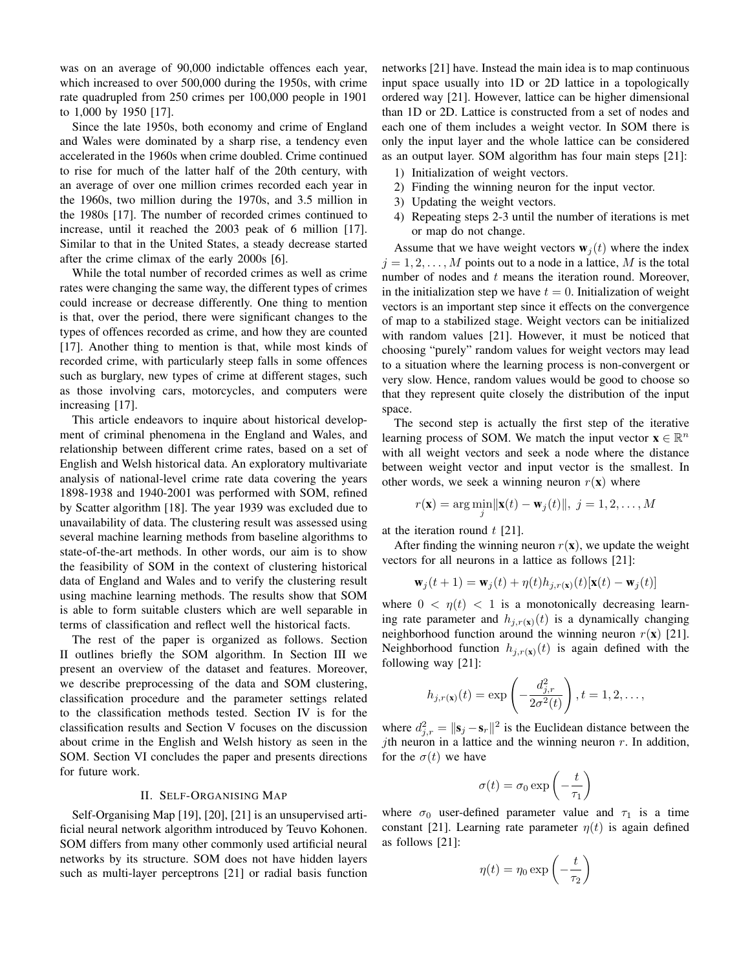was on an average of 90,000 indictable offences each year, which increased to over 500,000 during the 1950s, with crime rate quadrupled from 250 crimes per 100,000 people in 1901 to 1,000 by 1950 [17].

Since the late 1950s, both economy and crime of England and Wales were dominated by a sharp rise, a tendency even accelerated in the 1960s when crime doubled. Crime continued to rise for much of the latter half of the 20th century, with an average of over one million crimes recorded each year in the 1960s, two million during the 1970s, and 3.5 million in the 1980s [17]. The number of recorded crimes continued to increase, until it reached the 2003 peak of 6 million [17]. Similar to that in the United States, a steady decrease started after the crime climax of the early 2000s [6].

While the total number of recorded crimes as well as crime rates were changing the same way, the different types of crimes could increase or decrease differently. One thing to mention is that, over the period, there were significant changes to the types of offences recorded as crime, and how they are counted [17]. Another thing to mention is that, while most kinds of recorded crime, with particularly steep falls in some offences such as burglary, new types of crime at different stages, such as those involving cars, motorcycles, and computers were increasing [17].

This article endeavors to inquire about historical development of criminal phenomena in the England and Wales, and relationship between different crime rates, based on a set of English and Welsh historical data. An exploratory multivariate analysis of national-level crime rate data covering the years 1898-1938 and 1940-2001 was performed with SOM, refined by Scatter algorithm [18]. The year 1939 was excluded due to unavailability of data. The clustering result was assessed using several machine learning methods from baseline algorithms to state-of-the-art methods. In other words, our aim is to show the feasibility of SOM in the context of clustering historical data of England and Wales and to verify the clustering result using machine learning methods. The results show that SOM is able to form suitable clusters which are well separable in terms of classification and reflect well the historical facts.

The rest of the paper is organized as follows. Section II outlines briefly the SOM algorithm. In Section III we present an overview of the dataset and features. Moreover, we describe preprocessing of the data and SOM clustering, classification procedure and the parameter settings related to the classification methods tested. Section IV is for the classification results and Section V focuses on the discussion about crime in the English and Welsh history as seen in the SOM. Section VI concludes the paper and presents directions for future work.

## II. SELF-ORGANISING MAP

Self-Organising Map [19], [20], [21] is an unsupervised artificial neural network algorithm introduced by Teuvo Kohonen. SOM differs from many other commonly used artificial neural networks by its structure. SOM does not have hidden layers such as multi-layer perceptrons [21] or radial basis function networks [21] have. Instead the main idea is to map continuous input space usually into 1D or 2D lattice in a topologically ordered way [21]. However, lattice can be higher dimensional than 1D or 2D. Lattice is constructed from a set of nodes and each one of them includes a weight vector. In SOM there is only the input layer and the whole lattice can be considered as an output layer. SOM algorithm has four main steps [21]:

- 1) Initialization of weight vectors.
- 2) Finding the winning neuron for the input vector.
- 3) Updating the weight vectors.
- 4) Repeating steps 2-3 until the number of iterations is met or map do not change.

Assume that we have weight vectors  $w_i(t)$  where the index  $j = 1, 2, \dots, M$  points out to a node in a lattice, M is the total number of nodes and  $t$  means the iteration round. Moreover, in the initialization step we have  $t = 0$ . Initialization of weight vectors is an important step since it effects on the convergence of map to a stabilized stage. Weight vectors can be initialized with random values [21]. However, it must be noticed that choosing "purely" random values for weight vectors may lead to a situation where the learning process is non-convergent or very slow. Hence, random values would be good to choose so that they represent quite closely the distribution of the input space.

The second step is actually the first step of the iterative learning process of SOM. We match the input vector  $\mathbf{x} \in \mathbb{R}^n$ with all weight vectors and seek a node where the distance between weight vector and input vector is the smallest. In other words, we seek a winning neuron  $r(\mathbf{x})$  where

$$
r(\mathbf{x}) = \arg\min_j \|\mathbf{x}(t) - \mathbf{w}_j(t)\|, \ j = 1, 2, \dots, M
$$

at the iteration round  $t$  [21].

After finding the winning neuron  $r(\mathbf{x})$ , we update the weight vectors for all neurons in a lattice as follows [21]:

$$
\mathbf{w}_j(t+1) = \mathbf{w}_j(t) + \eta(t)h_{j,r(\mathbf{x})}(t)[\mathbf{x}(t) - \mathbf{w}_j(t)]
$$

where  $0 < \eta(t) < 1$  is a monotonically decreasing learning rate parameter and  $h_{j,r(x)}(t)$  is a dynamically changing neighborhood function around the winning neuron  $r(\mathbf{x})$  [21]. Neighborhood function  $h_{j,r(x)}(t)$  is again defined with the following way [21]:

$$
h_{j,r(\mathbf{x})}(t) = \exp\left(-\frac{d_{j,r}^2}{2\sigma^2(t)}\right), t = 1, 2, \dots,
$$

where  $d_{j,r}^2 = ||\mathbf{s}_j - \mathbf{s}_r||^2$  is the Euclidean distance between the *j*th neuron in a lattice and the winning neuron  $r$ . In addition, for the  $\sigma(t)$  we have

$$
\sigma(t) = \sigma_0 \exp\left(-\frac{t}{\tau_1}\right)
$$

where  $\sigma_0$  user-defined parameter value and  $\tau_1$  is a time constant [21]. Learning rate parameter  $\eta(t)$  is again defined as follows [21]:

$$
\eta(t) = \eta_0 \exp\left(-\frac{t}{\tau_2}\right)
$$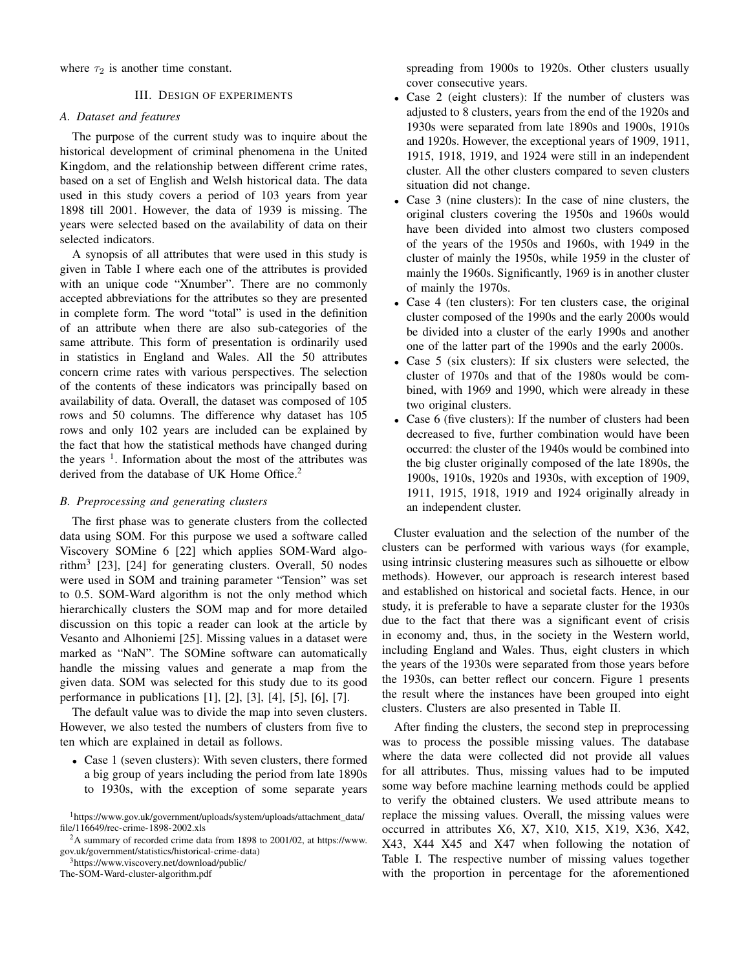where  $\tau_2$  is another time constant.

#### III. DESIGN OF EXPERIMENTS

# *A. Dataset and features*

The purpose of the current study was to inquire about the historical development of criminal phenomena in the United Kingdom, and the relationship between different crime rates, based on a set of English and Welsh historical data. The data used in this study covers a period of 103 years from year 1898 till 2001. However, the data of 1939 is missing. The years were selected based on the availability of data on their selected indicators.

A synopsis of all attributes that were used in this study is given in Table I where each one of the attributes is provided with an unique code "Xnumber". There are no commonly accepted abbreviations for the attributes so they are presented in complete form. The word "total" is used in the definition of an attribute when there are also sub-categories of the same attribute. This form of presentation is ordinarily used in statistics in England and Wales. All the 50 attributes concern crime rates with various perspectives. The selection of the contents of these indicators was principally based on availability of data. Overall, the dataset was composed of 105 rows and 50 columns. The difference why dataset has 105 rows and only 102 years are included can be explained by the fact that how the statistical methods have changed during the years  $1$ . Information about the most of the attributes was derived from the database of UK Home Office.<sup>2</sup>

## *B. Preprocessing and generating clusters*

The first phase was to generate clusters from the collected data using SOM. For this purpose we used a software called Viscovery SOMine 6 [22] which applies SOM-Ward algorithm<sup>3</sup> [23], [24] for generating clusters. Overall, 50 nodes were used in SOM and training parameter "Tension" was set to 0.5. SOM-Ward algorithm is not the only method which hierarchically clusters the SOM map and for more detailed discussion on this topic a reader can look at the article by Vesanto and Alhoniemi [25]. Missing values in a dataset were marked as "NaN". The SOMine software can automatically handle the missing values and generate a map from the given data. SOM was selected for this study due to its good performance in publications [1], [2], [3], [4], [5], [6], [7].

The default value was to divide the map into seven clusters. However, we also tested the numbers of clusters from five to ten which are explained in detail as follows.

• Case 1 (seven clusters): With seven clusters, there formed a big group of years including the period from late 1890s to 1930s, with the exception of some separate years

<sup>3</sup>https://www.viscovery.net/download/public/

The-SOM-Ward-cluster-algorithm.pdf

spreading from 1900s to 1920s. Other clusters usually cover consecutive years.

- Case 2 (eight clusters): If the number of clusters was adjusted to 8 clusters, years from the end of the 1920s and 1930s were separated from late 1890s and 1900s, 1910s and 1920s. However, the exceptional years of 1909, 1911, 1915, 1918, 1919, and 1924 were still in an independent cluster. All the other clusters compared to seven clusters situation did not change.
- Case 3 (nine clusters): In the case of nine clusters, the original clusters covering the 1950s and 1960s would have been divided into almost two clusters composed of the years of the 1950s and 1960s, with 1949 in the cluster of mainly the 1950s, while 1959 in the cluster of mainly the 1960s. Significantly, 1969 is in another cluster of mainly the 1970s.
- Case 4 (ten clusters): For ten clusters case, the original cluster composed of the 1990s and the early 2000s would be divided into a cluster of the early 1990s and another one of the latter part of the 1990s and the early 2000s.
- Case 5 (six clusters): If six clusters were selected, the cluster of 1970s and that of the 1980s would be combined, with 1969 and 1990, which were already in these two original clusters.
- Case 6 (five clusters): If the number of clusters had been decreased to five, further combination would have been occurred: the cluster of the 1940s would be combined into the big cluster originally composed of the late 1890s, the 1900s, 1910s, 1920s and 1930s, with exception of 1909, 1911, 1915, 1918, 1919 and 1924 originally already in an independent cluster.

Cluster evaluation and the selection of the number of the clusters can be performed with various ways (for example, using intrinsic clustering measures such as silhouette or elbow methods). However, our approach is research interest based and established on historical and societal facts. Hence, in our study, it is preferable to have a separate cluster for the 1930s due to the fact that there was a significant event of crisis in economy and, thus, in the society in the Western world, including England and Wales. Thus, eight clusters in which the years of the 1930s were separated from those years before the 1930s, can better reflect our concern. Figure 1 presents the result where the instances have been grouped into eight clusters. Clusters are also presented in Table II.

After finding the clusters, the second step in preprocessing was to process the possible missing values. The database where the data were collected did not provide all values for all attributes. Thus, missing values had to be imputed some way before machine learning methods could be applied to verify the obtained clusters. We used attribute means to replace the missing values. Overall, the missing values were occurred in attributes X6, X7, X10, X15, X19, X36, X42, X43, X44 X45 and X47 when following the notation of Table I. The respective number of missing values together with the proportion in percentage for the aforementioned

<sup>1</sup>https://www.gov.uk/government/uploads/system/uploads/attachment\_data/ file/116649/rec-crime-1898-2002.xls

<sup>2</sup>A summary of recorded crime data from 1898 to 2001/02, at https://www. gov.uk/government/statistics/historical-crime-data)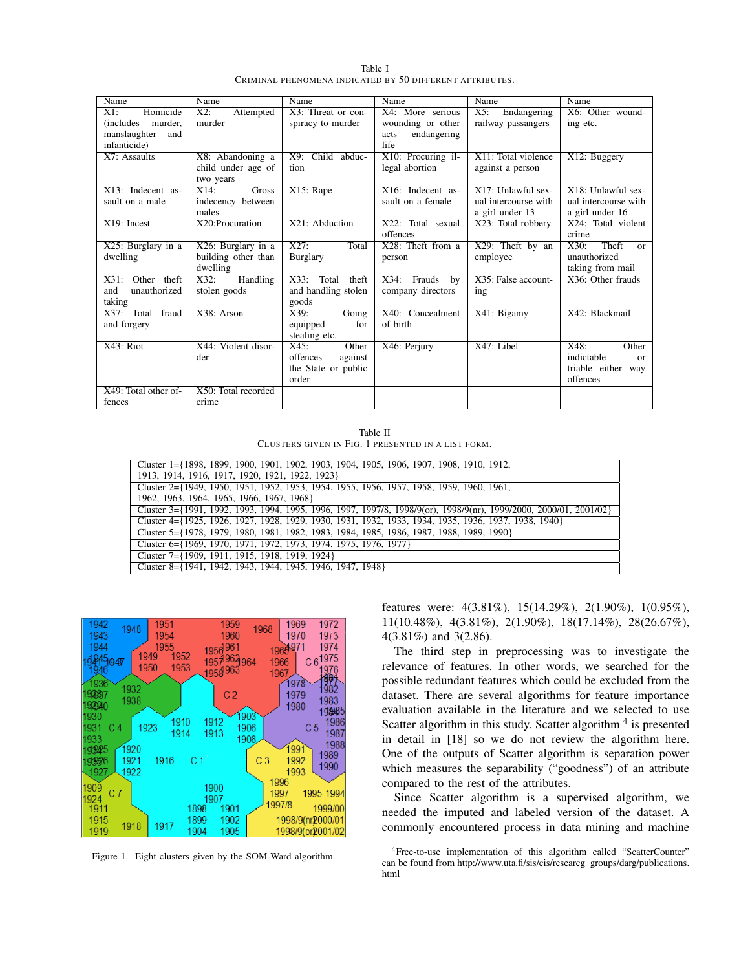| Name                         | Name                             | Name                   | Name                 | Name                  | Name                      |
|------------------------------|----------------------------------|------------------------|----------------------|-----------------------|---------------------------|
| $X1$ :<br>Homicide           | X2:<br>Attempted                 | X3: Threat or con-     | X4: More serious     | X5:<br>Endangering    | X6: Other wound-          |
| <i>(includes)</i><br>murder. | murder                           | spiracy to murder      | wounding or other    | railway passangers    | ing etc.                  |
| manslaughter<br>and          |                                  |                        | endangering<br>acts  |                       |                           |
| infanticide)                 |                                  |                        | life                 |                       |                           |
| X7: Assaults                 | X8: Abandoning a                 | X9: Child abduc-       | X10: Procuring il-   | X11: Total violence   | X12: Buggery              |
|                              | child under age of               | tion                   | legal abortion       | against a person      |                           |
|                              | two years                        |                        |                      |                       |                           |
| X13: Indecent as-            | X14:<br>Gross                    | $X15:$ Rape            | X16: Indecent as-    | X17: Unlawful sex-    | X18: Unlawful sex-        |
| sault on a male              | indecency between                |                        | sault on a female    | ual intercourse with  | ual intercourse with      |
|                              | males                            |                        |                      | a girl under 13       | a girl under 16           |
| $X19:$ Incest                | X20:Procuration                  | X21: Abduction         | X22: Total sexual    | $X23$ : Total robbery | X24: Total violent        |
|                              |                                  |                        | offences             |                       | crime                     |
| X25: Burglary in a           | $\overline{X26}$ : Burglary in a | X27:<br>Total          | $X28$ : Theft from a | X29: Theft by an      | Theft<br>X30:<br>$\alpha$ |
| dwelling                     | building other than              | <b>Burglary</b>        | person               | employee              | unauthorized              |
|                              | dwelling                         |                        |                      |                       | taking from mail          |
| Other theft<br>X31:          | Handling<br>X32:                 | X33:<br>Total<br>theft | X34:<br>Frauds<br>by | X35: False account-   | X36: Other frauds         |
| and<br>unauthorized          | stolen goods                     | and handling stolen    | company directors    | ing                   |                           |
| taking                       |                                  | goods                  |                      |                       |                           |
| X37: Total<br>fraud          | X38: Arson                       | X39:<br>Going          | X40: Concealment     | X41: Bigamy           | X42: Blackmail            |
| and forgery                  |                                  | for<br>equipped        | of birth             |                       |                           |
|                              |                                  | stealing etc.          |                      |                       |                           |
| $X43:$ Riot                  | X44: Violent disor-              | X45:<br>Other          | X46: Perjury         | $X47:$ Libel          | X48:<br>Other             |
|                              | der                              | offences<br>against    |                      |                       | indictable<br>$\alpha$    |
|                              |                                  | the State or public    |                      |                       | triable either way        |
|                              |                                  | order                  |                      |                       | offences                  |
| X49: Total other of-         | X50: Total recorded              |                        |                      |                       |                           |
| fences                       | crime                            |                        |                      |                       |                           |

Table I CRIMINAL PHENOMENA INDICATED BY 50 DIFFERENT ATTRIBUTES.

Table II CLUSTERS GIVEN IN FIG. 1 PRESENTED IN A LIST FORM.

| Cluster 1={1898, 1899, 1900, 1901, 1902, 1903, 1904, 1905, 1906, 1907, 1908, 1910, 1912,                          |
|-------------------------------------------------------------------------------------------------------------------|
| 1913, 1914, 1916, 1917, 1920, 1921, 1922, 1923}                                                                   |
| Cluster 2={1949, 1950, 1951, 1952, 1953, 1954, 1955, 1956, 1957, 1958, 1959, 1960, 1961,                          |
| 1962, 1963, 1964, 1965, 1966, 1967, 1968}                                                                         |
| Cluster 3={1991, 1992, 1993, 1994, 1995, 1996, 1997, 1997/8, 1998/9(or), 1998/9(nr), 1999/2000, 2000/01, 2001/02} |
| Cluster 4={1925, 1926, 1927, 1928, 1929, 1930, 1931, 1932, 1933, 1934, 1935, 1936, 1937, 1938, 1940}              |
| Cluster 5={1978, 1979, 1980, 1981, 1982, 1983, 1984, 1985, 1986, 1987, 1988, 1989, 1990}                          |
| Cluster 6={1969, 1970, 1971, 1972, 1973, 1974, 1975, 1976, 1977}                                                  |
| Cluster 7={1909, 1911, 1915, 1918, 1919, 1924}                                                                    |
| Cluster 8={1941, 1942, 1943, 1944, 1945, 1946, 1947, 1948}                                                        |
|                                                                                                                   |



Figure 1. Eight clusters given by the SOM-Ward algorithm.

features were: 4(3.81%), 15(14.29%), 2(1.90%), 1(0.95%), 11(10.48%), 4(3.81%), 2(1.90%), 18(17.14%), 28(26.67%), 4(3.81%) and 3(2.86).

The third step in preprocessing was to investigate the relevance of features. In other words, we searched for the possible redundant features which could be excluded from the dataset. There are several algorithms for feature importance evaluation available in the literature and we selected to use Scatter algorithm in this study. Scatter algorithm<sup>4</sup> is presented in detail in [18] so we do not review the algorithm here. One of the outputs of Scatter algorithm is separation power which measures the separability ("goodness") of an attribute compared to the rest of the attributes.

Since Scatter algorithm is a supervised algorithm, we needed the imputed and labeled version of the dataset. A commonly encountered process in data mining and machine

<sup>4</sup>Free-to-use implementation of this algorithm called "ScatterCounter" can be found from http://www.uta.fi/sis/cis/researcg\_groups/darg/publications. html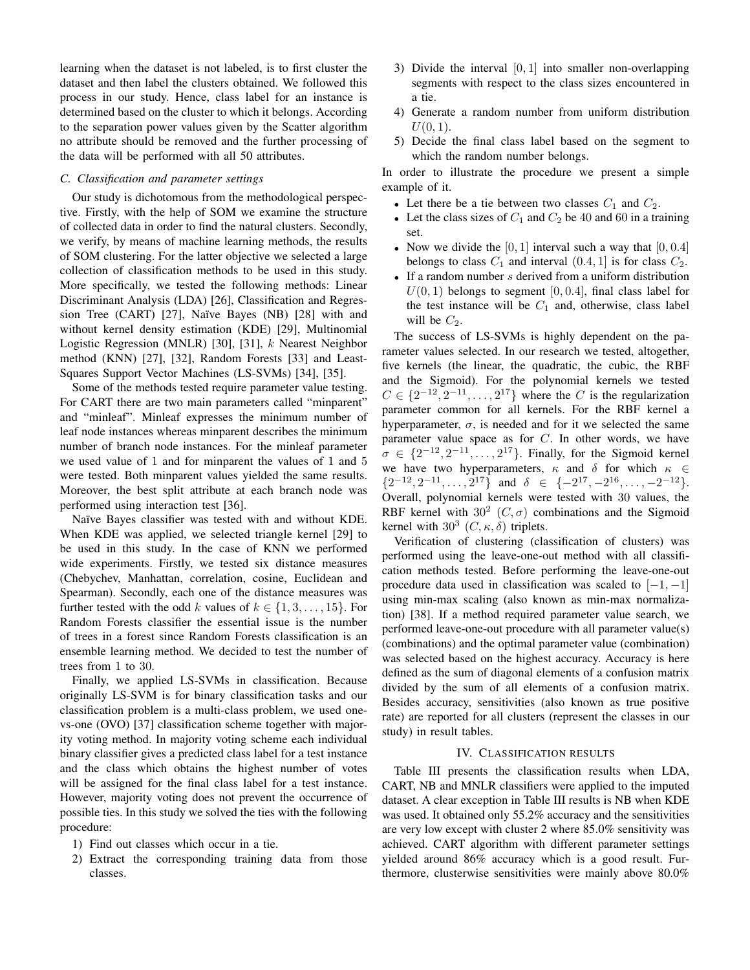learning when the dataset is not labeled, is to first cluster the dataset and then label the clusters obtained. We followed this process in our study. Hence, class label for an instance is determined based on the cluster to which it belongs. According to the separation power values given by the Scatter algorithm no attribute should be removed and the further processing of the data will be performed with all 50 attributes.

## *C. Classification and parameter settings*

Our study is dichotomous from the methodological perspective. Firstly, with the help of SOM we examine the structure of collected data in order to find the natural clusters. Secondly, we verify, by means of machine learning methods, the results of SOM clustering. For the latter objective we selected a large collection of classification methods to be used in this study. More specifically, we tested the following methods: Linear Discriminant Analysis (LDA) [26], Classification and Regression Tree (CART) [27], Naïve Bayes (NB) [28] with and without kernel density estimation (KDE) [29], Multinomial Logistic Regression (MNLR) [30], [31], k Nearest Neighbor method (KNN) [27], [32], Random Forests [33] and Least-Squares Support Vector Machines (LS-SVMs) [34], [35].

Some of the methods tested require parameter value testing. For CART there are two main parameters called "minparent" and "minleaf". Minleaf expresses the minimum number of leaf node instances whereas minparent describes the minimum number of branch node instances. For the minleaf parameter we used value of 1 and for minparent the values of 1 and 5 were tested. Both minparent values yielded the same results. Moreover, the best split attribute at each branch node was performed using interaction test [36].

Naïve Bayes classifier was tested with and without KDE. When KDE was applied, we selected triangle kernel [29] to be used in this study. In the case of KNN we performed wide experiments. Firstly, we tested six distance measures (Chebychev, Manhattan, correlation, cosine, Euclidean and Spearman). Secondly, each one of the distance measures was further tested with the odd k values of  $k \in \{1, 3, ..., 15\}$ . For Random Forests classifier the essential issue is the number of trees in a forest since Random Forests classification is an ensemble learning method. We decided to test the number of trees from 1 to 30.

Finally, we applied LS-SVMs in classification. Because originally LS-SVM is for binary classification tasks and our classification problem is a multi-class problem, we used onevs-one (OVO) [37] classification scheme together with majority voting method. In majority voting scheme each individual binary classifier gives a predicted class label for a test instance and the class which obtains the highest number of votes will be assigned for the final class label for a test instance. However, majority voting does not prevent the occurrence of possible ties. In this study we solved the ties with the following procedure:

- 1) Find out classes which occur in a tie.
- 2) Extract the corresponding training data from those classes.
- 3) Divide the interval  $[0, 1]$  into smaller non-overlapping segments with respect to the class sizes encountered in a tie.
- 4) Generate a random number from uniform distribution  $U(0, 1)$ .
- 5) Decide the final class label based on the segment to which the random number belongs.

In order to illustrate the procedure we present a simple example of it.

- Let there be a tie between two classes  $C_1$  and  $C_2$ .
- Let the class sizes of  $C_1$  and  $C_2$  be 40 and 60 in a training set.
- Now we divide the  $[0, 1]$  interval such a way that  $[0, 0.4]$ belongs to class  $C_1$  and interval  $(0.4, 1]$  is for class  $C_2$ .
- If a random number  $s$  derived from a uniform distribution  $U(0, 1)$  belongs to segment [0, 0.4], final class label for the test instance will be  $C_1$  and, otherwise, class label will be  $C_2$ .

The success of LS-SVMs is highly dependent on the parameter values selected. In our research we tested, altogether, five kernels (the linear, the quadratic, the cubic, the RBF and the Sigmoid). For the polynomial kernels we tested  $C \in \{2^{-12}, 2^{-11}, \ldots, 2^{17}\}\$  where the C is the regularization parameter common for all kernels. For the RBF kernel a hyperparameter,  $\sigma$ , is needed and for it we selected the same parameter value space as for  $C$ . In other words, we have  $\sigma \in \{2^{-12}, 2^{-11}, \ldots, 2^{17}\}.$  Finally, for the Sigmoid kernel we have two hyperparameters,  $\kappa$  and  $\delta$  for which  $\kappa \in$  $\{2^{-12}, 2^{-11}, \ldots, 2^{17}\}$  and  $\delta \in \{-2^{17}, -2^{16}, \ldots, -2^{-12}\}.$ Overall, polynomial kernels were tested with 30 values, the RBF kernel with  $30^2$  (C,  $\sigma$ ) combinations and the Sigmoid kernel with  $30^3$   $(C, \kappa, \delta)$  triplets.

Verification of clustering (classification of clusters) was performed using the leave-one-out method with all classification methods tested. Before performing the leave-one-out procedure data used in classification was scaled to  $[-1, -1]$ using min-max scaling (also known as min-max normalization) [38]. If a method required parameter value search, we performed leave-one-out procedure with all parameter value(s) (combinations) and the optimal parameter value (combination) was selected based on the highest accuracy. Accuracy is here defined as the sum of diagonal elements of a confusion matrix divided by the sum of all elements of a confusion matrix. Besides accuracy, sensitivities (also known as true positive rate) are reported for all clusters (represent the classes in our study) in result tables.

#### IV. CLASSIFICATION RESULTS

Table III presents the classification results when LDA, CART, NB and MNLR classifiers were applied to the imputed dataset. A clear exception in Table III results is NB when KDE was used. It obtained only 55.2% accuracy and the sensitivities are very low except with cluster 2 where 85.0% sensitivity was achieved. CART algorithm with different parameter settings yielded around 86% accuracy which is a good result. Furthermore, clusterwise sensitivities were mainly above 80.0%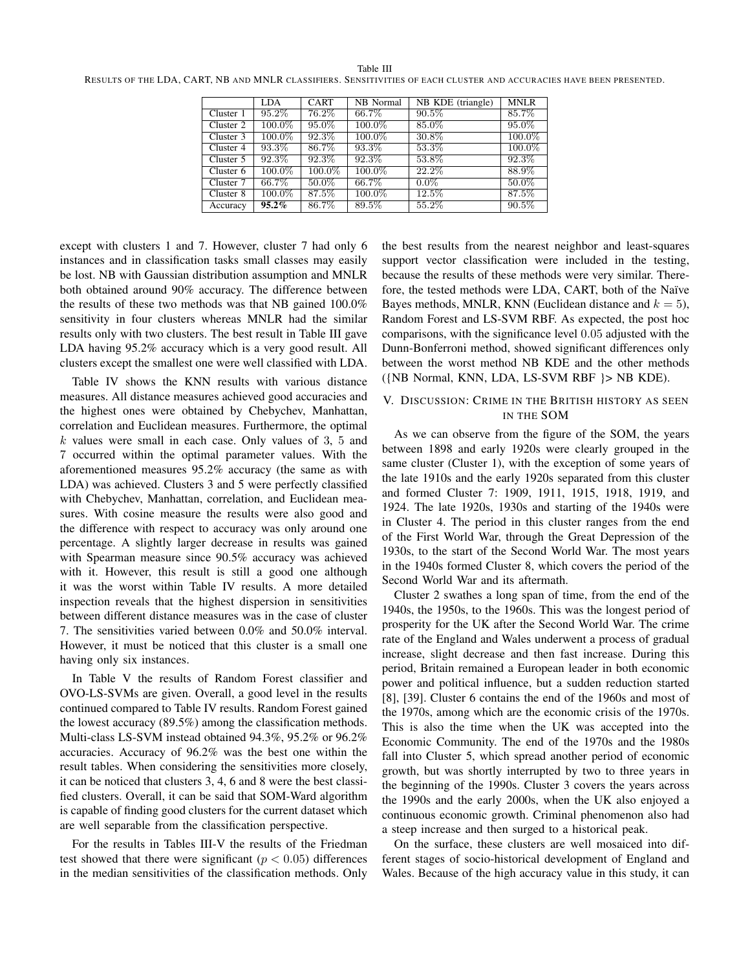|           | LDA.      | CART      | NB Normal | NB KDE (triangle) | <b>MNLR</b> |
|-----------|-----------|-----------|-----------|-------------------|-------------|
| Cluster 1 | $95.2\%$  | $76.2\%$  | 66.7%     | $90.5\%$          | 85.7%       |
| Cluster 2 | $100.0\%$ | $95.0\%$  | $100.0\%$ | $85.0\%$          | 95.0%       |
| Cluster 3 | $100.0\%$ | 92.3%     | $100.0\%$ | $30.8\%$          | $100.0\%$   |
| Cluster 4 | $93.3\%$  | 86.7%     | 93.3%     | 53.3%             | $100.0\%$   |
| Cluster 5 | $92.3\%$  | $92.3\%$  | 92.3%     | 53.8%             | 92.3%       |
| Cluster 6 | $100.0\%$ | $100.0\%$ | $100.0\%$ | 22.2%             | 88.9%       |
| Cluster 7 | 66.7%     | $50.0\%$  | 66.7%     | $0.0\%$           | $50.0\%$    |
| Cluster 8 | $100.0\%$ | 87.5%     | $100.0\%$ | $12.5\%$          | 87.5%       |
| Accuracy  | $95.2\%$  | 86.7%     | 89.5%     | 55.2%             | 90.5%       |
|           |           |           |           |                   |             |

Table III RESULTS OF THE LDA, CART, NB AND MNLR CLASSIFIERS. SENSITIVITIES OF EACH CLUSTER AND ACCURACIES HAVE BEEN PRESENTED.

except with clusters 1 and 7. However, cluster 7 had only 6 instances and in classification tasks small classes may easily be lost. NB with Gaussian distribution assumption and MNLR both obtained around 90% accuracy. The difference between the results of these two methods was that NB gained 100.0% sensitivity in four clusters whereas MNLR had the similar results only with two clusters. The best result in Table III gave LDA having 95.2% accuracy which is a very good result. All clusters except the smallest one were well classified with LDA.

Table IV shows the KNN results with various distance measures. All distance measures achieved good accuracies and the highest ones were obtained by Chebychev, Manhattan, correlation and Euclidean measures. Furthermore, the optimal  $k$  values were small in each case. Only values of 3, 5 and 7 occurred within the optimal parameter values. With the aforementioned measures 95.2% accuracy (the same as with LDA) was achieved. Clusters 3 and 5 were perfectly classified with Chebychev, Manhattan, correlation, and Euclidean measures. With cosine measure the results were also good and the difference with respect to accuracy was only around one percentage. A slightly larger decrease in results was gained with Spearman measure since 90.5% accuracy was achieved with it. However, this result is still a good one although it was the worst within Table IV results. A more detailed inspection reveals that the highest dispersion in sensitivities between different distance measures was in the case of cluster 7. The sensitivities varied between 0.0% and 50.0% interval. However, it must be noticed that this cluster is a small one having only six instances.

In Table V the results of Random Forest classifier and OVO-LS-SVMs are given. Overall, a good level in the results continued compared to Table IV results. Random Forest gained the lowest accuracy (89.5%) among the classification methods. Multi-class LS-SVM instead obtained 94.3%, 95.2% or 96.2% accuracies. Accuracy of 96.2% was the best one within the result tables. When considering the sensitivities more closely, it can be noticed that clusters 3, 4, 6 and 8 were the best classified clusters. Overall, it can be said that SOM-Ward algorithm is capable of finding good clusters for the current dataset which are well separable from the classification perspective.

For the results in Tables III-V the results of the Friedman test showed that there were significant ( $p < 0.05$ ) differences in the median sensitivities of the classification methods. Only the best results from the nearest neighbor and least-squares support vector classification were included in the testing, because the results of these methods were very similar. Therefore, the tested methods were LDA, CART, both of the Naïve Bayes methods, MNLR, KNN (Euclidean distance and  $k = 5$ ), Random Forest and LS-SVM RBF. As expected, the post hoc comparisons, with the significance level 0.05 adjusted with the Dunn-Bonferroni method, showed significant differences only between the worst method NB KDE and the other methods ({NB Normal, KNN, LDA, LS-SVM RBF }> NB KDE).

# V. DISCUSSION: CRIME IN THE BRITISH HISTORY AS SEEN IN THE SOM

As we can observe from the figure of the SOM, the years between 1898 and early 1920s were clearly grouped in the same cluster (Cluster 1), with the exception of some years of the late 1910s and the early 1920s separated from this cluster and formed Cluster 7: 1909, 1911, 1915, 1918, 1919, and 1924. The late 1920s, 1930s and starting of the 1940s were in Cluster 4. The period in this cluster ranges from the end of the First World War, through the Great Depression of the 1930s, to the start of the Second World War. The most years in the 1940s formed Cluster 8, which covers the period of the Second World War and its aftermath.

Cluster 2 swathes a long span of time, from the end of the 1940s, the 1950s, to the 1960s. This was the longest period of prosperity for the UK after the Second World War. The crime rate of the England and Wales underwent a process of gradual increase, slight decrease and then fast increase. During this period, Britain remained a European leader in both economic power and political influence, but a sudden reduction started [8], [39]. Cluster 6 contains the end of the 1960s and most of the 1970s, among which are the economic crisis of the 1970s. This is also the time when the UK was accepted into the Economic Community. The end of the 1970s and the 1980s fall into Cluster 5, which spread another period of economic growth, but was shortly interrupted by two to three years in the beginning of the 1990s. Cluster 3 covers the years across the 1990s and the early 2000s, when the UK also enjoyed a continuous economic growth. Criminal phenomenon also had a steep increase and then surged to a historical peak.

On the surface, these clusters are well mosaiced into different stages of socio-historical development of England and Wales. Because of the high accuracy value in this study, it can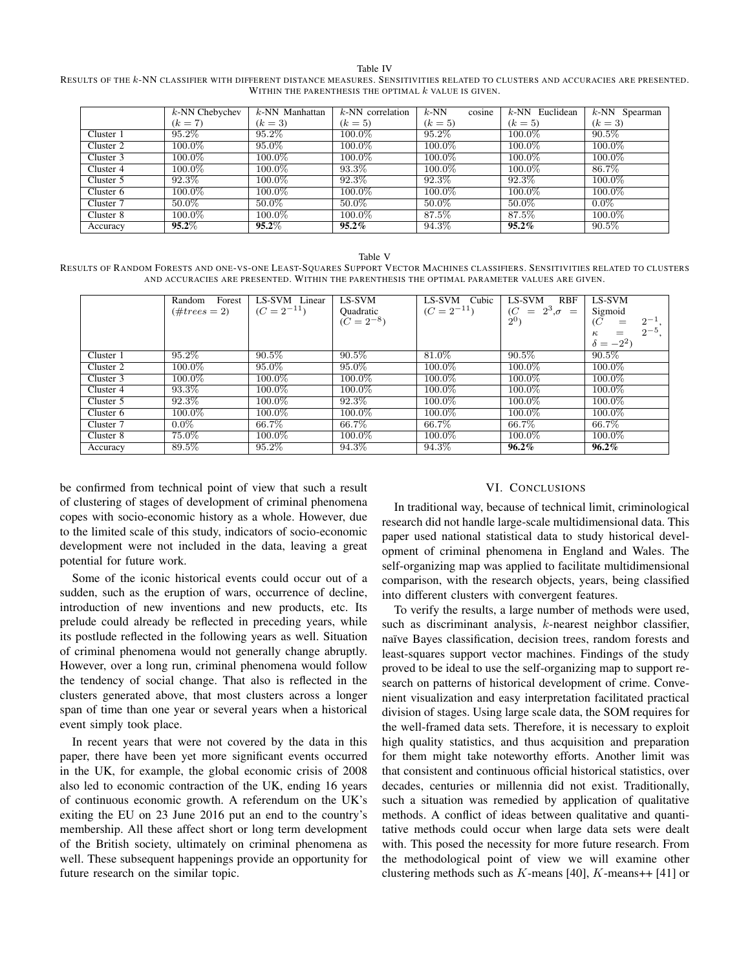Table IV

RESULTS OF THE k-NN CLASSIFIER WITH DIFFERENT DISTANCE MEASURES. SENSITIVITIES RELATED TO CLUSTERS AND ACCURACIES ARE PRESENTED. WITHIN THE PARENTHESIS THE OPTIMAL  $k$  value is given.

|           | $k$ -NN Chebychev | $k$ -NN Manhattan | $k$ -NN correlation | $k$ -NN   | cosine | $k$ -NN Euclidean | $k$ -NN Spearman |
|-----------|-------------------|-------------------|---------------------|-----------|--------|-------------------|------------------|
|           | $(k = 7)$         | $(k = 3)$         | $(k = 5)$           | $(k = 5)$ |        | $(k = 5)$         | $(k = 3)$        |
| Cluster 1 | 95.2%             | $95.2\%$          | $100.0\%$           | $95.2\%$  |        | 100.0%            | $90.5\%$         |
| Cluster 2 | 100.0%            | $95.0\%$          | 100.0%              | 100.0%    |        | 100.0%            | 100.0%           |
| Cluster 3 | 100.0%            | $100.0\%$         | 100.0%              | 100.0%    |        | 100.0%            | 100.0%           |
| Cluster 4 | $100.0\%$         | $100.0\%$         | 93.3%               | 100.0%    |        | $100.0\%$         | 86.7%            |
| Cluster 5 | $92.3\%$          | $100.0\%$         | 92.3%               | 92.3%     |        | 92.3%             | 100.0%           |
| Cluster 6 | 100.0%            | $100.0\%$         | $100.0\%$           | 100.0%    |        | 100.0%            | 100.0%           |
| Cluster 7 | $50.0\%$          | $50.0\%$          | $50.0\%$            | 50.0%     |        | 50.0%             | $0.0\%$          |
| Cluster 8 | $100.0\%$         | $100.0\%$         | $100.0\%$           | 87.5%     |        | 87.5%             | 100.0%           |
| Accuracy  | $95.2\%$          | $95.2\%$          | $95.2\%$            | 94.3%     |        | $95.2\%$          | $90.5\%$         |

Table V

RESULTS OF RANDOM FORESTS AND ONE-VS-ONE LEAST-SQUARES SUPPORT VECTOR MACHINES CLASSIFIERS. SENSITIVITIES RELATED TO CLUSTERS AND ACCURACIES ARE PRESENTED. WITHIN THE PARENTHESIS THE OPTIMAL PARAMETER VALUES ARE GIVEN.

|           | Forest<br>Random | LS-SVM Linear   | LS-SVM         | LS-SVM Cubic  | LS-SVM<br><b>RBF</b> | <b>LS-SVM</b>               |
|-----------|------------------|-----------------|----------------|---------------|----------------------|-----------------------------|
|           | $(\#trees = 2)$  | $(C = 2^{-11})$ | Quadratic      | $(C=2^{-11})$ | $(C = 2^3, \sigma =$ | Sigmoid                     |
|           |                  |                 | $(C = 2^{-8})$ |               | $2^{0}$              | $2^{-1}$<br>(C              |
|           |                  |                 |                |               |                      | $2^{-5}$<br>$\kappa$<br>$=$ |
|           |                  |                 |                |               |                      | $\delta = -2^2$             |
| Cluster 1 | $95.2\%$         | $90.5\%$        | $90.5\%$       | 81.0%         | $90.5\%$             | $90.5\%$                    |
| Cluster 2 | 100.0%           | 95.0%           | $95.0\%$       | 100.0%        | 100.0%               | 100.0%                      |
| Cluster 3 | 100.0%           | $100.0\%$       | 100.0%         | 100.0%        | 100.0%               | 100.0%                      |
| Cluster 4 | 93.3%            | $100.0\%$       | 100.0%         | $100.0\%$     | 100.0%               | $100.0\%$                   |
| Cluster 5 | 92.3%            | $100.0\%$       | 92.3%          | 100.0%        | 100.0%               | 100.0%                      |
| Cluster 6 | 100.0%           | $100.0\%$       | 100.0%         | 100.0%        | 100.0%               | 100.0%                      |
| Cluster 7 | $0.0\%$          | 66.7%           | 66.7%          | 66.7%         | 66.7%                | 66.7%                       |
| Cluster 8 | 75.0%            | $100.0\%$       | 100.0%         | 100.0%        | 100.0%               | 100.0%                      |
| Accuracy  | 89.5%            | 95.2%           | 94.3%          | 94.3%         | $96.2\%$             | $96.2\%$                    |

be confirmed from technical point of view that such a result of clustering of stages of development of criminal phenomena copes with socio-economic history as a whole. However, due to the limited scale of this study, indicators of socio-economic development were not included in the data, leaving a great potential for future work.

Some of the iconic historical events could occur out of a sudden, such as the eruption of wars, occurrence of decline, introduction of new inventions and new products, etc. Its prelude could already be reflected in preceding years, while its postlude reflected in the following years as well. Situation of criminal phenomena would not generally change abruptly. However, over a long run, criminal phenomena would follow the tendency of social change. That also is reflected in the clusters generated above, that most clusters across a longer span of time than one year or several years when a historical event simply took place.

In recent years that were not covered by the data in this paper, there have been yet more significant events occurred in the UK, for example, the global economic crisis of 2008 also led to economic contraction of the UK, ending 16 years of continuous economic growth. A referendum on the UK's exiting the EU on 23 June 2016 put an end to the country's membership. All these affect short or long term development of the British society, ultimately on criminal phenomena as well. These subsequent happenings provide an opportunity for future research on the similar topic.

## VI. CONCLUSIONS

In traditional way, because of technical limit, criminological research did not handle large-scale multidimensional data. This paper used national statistical data to study historical development of criminal phenomena in England and Wales. The self-organizing map was applied to facilitate multidimensional comparison, with the research objects, years, being classified into different clusters with convergent features.

To verify the results, a large number of methods were used, such as discriminant analysis, k-nearest neighbor classifier, naïve Bayes classification, decision trees, random forests and least-squares support vector machines. Findings of the study proved to be ideal to use the self-organizing map to support research on patterns of historical development of crime. Convenient visualization and easy interpretation facilitated practical division of stages. Using large scale data, the SOM requires for the well-framed data sets. Therefore, it is necessary to exploit high quality statistics, and thus acquisition and preparation for them might take noteworthy efforts. Another limit was that consistent and continuous official historical statistics, over decades, centuries or millennia did not exist. Traditionally, such a situation was remedied by application of qualitative methods. A conflict of ideas between qualitative and quantitative methods could occur when large data sets were dealt with. This posed the necessity for more future research. From the methodological point of view we will examine other clustering methods such as K-means [40], K-means++ [41] or